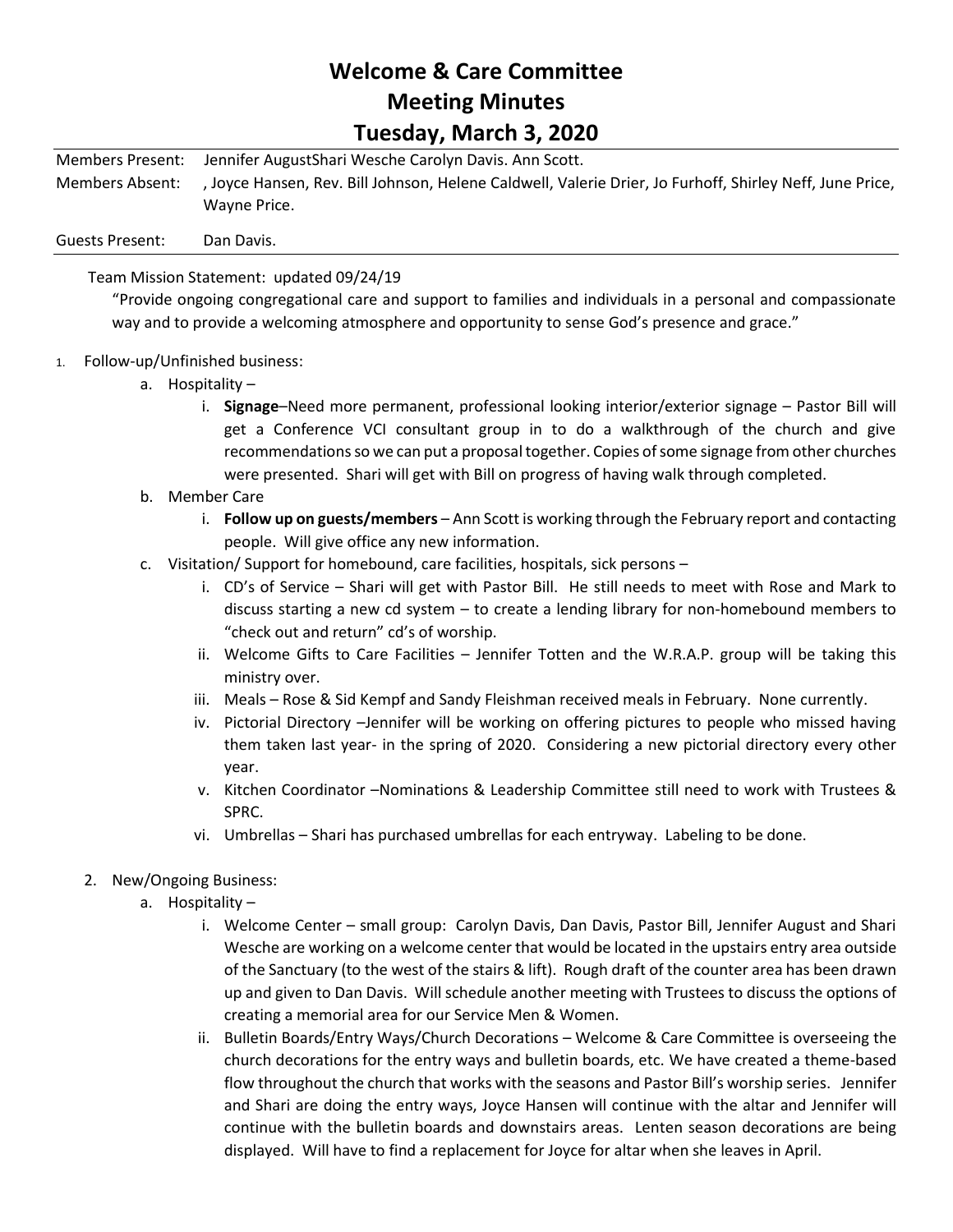## **Welcome & Care Committee Meeting Minutes Tuesday, March 3, 2020**

Members Present: Jennifer AugustShari Wesche Carolyn Davis. Ann Scott. Members Absent: , Joyce Hansen, Rev. Bill Johnson, Helene Caldwell, Valerie Drier, Jo Furhoff, Shirley Neff, June Price, Wayne Price.

Guests Present: Dan Davis.

Team Mission Statement: updated 09/24/19

"Provide ongoing congregational care and support to families and individuals in a personal and compassionate way and to provide a welcoming atmosphere and opportunity to sense God's presence and grace."

- 1. Follow-up/Unfinished business:
	- a. Hospitality
		- i. **Signage**–Need more permanent, professional looking interior/exterior signage Pastor Bill will get a Conference VCI consultant group in to do a walkthrough of the church and give recommendations so we can put a proposal together. Copies of some signage from other churches were presented. Shari will get with Bill on progress of having walk through completed.
	- b. Member Care
		- i. **Follow up on guests/members** Ann Scott is working through the February report and contacting people. Will give office any new information.
	- c. Visitation/ Support for homebound, care facilities, hospitals, sick persons
		- i. CD's of Service Shari will get with Pastor Bill. He still needs to meet with Rose and Mark to discuss starting a new cd system – to create a lending library for non-homebound members to "check out and return" cd's of worship.
		- ii. Welcome Gifts to Care Facilities Jennifer Totten and the W.R.A.P. group will be taking this ministry over.
		- iii. Meals Rose & Sid Kempf and Sandy Fleishman received meals in February. None currently.
		- iv. Pictorial Directory –Jennifer will be working on offering pictures to people who missed having them taken last year- in the spring of 2020. Considering a new pictorial directory every other year.
		- v. Kitchen Coordinator –Nominations & Leadership Committee still need to work with Trustees & SPRC.
		- vi. Umbrellas Shari has purchased umbrellas for each entryway. Labeling to be done.
	- 2. New/Ongoing Business:
		- a. Hospitality
			- i. Welcome Center small group: Carolyn Davis, Dan Davis, Pastor Bill, Jennifer August and Shari Wesche are working on a welcome center that would be located in the upstairs entry area outside of the Sanctuary (to the west of the stairs & lift). Rough draft of the counter area has been drawn up and given to Dan Davis. Will schedule another meeting with Trustees to discuss the options of creating a memorial area for our Service Men & Women.
			- ii. Bulletin Boards/Entry Ways/Church Decorations Welcome & Care Committee is overseeing the church decorations for the entry ways and bulletin boards, etc. We have created a theme-based flow throughout the church that works with the seasons and Pastor Bill's worship series. Jennifer and Shari are doing the entry ways, Joyce Hansen will continue with the altar and Jennifer will continue with the bulletin boards and downstairs areas. Lenten season decorations are being displayed. Will have to find a replacement for Joyce for altar when she leaves in April.